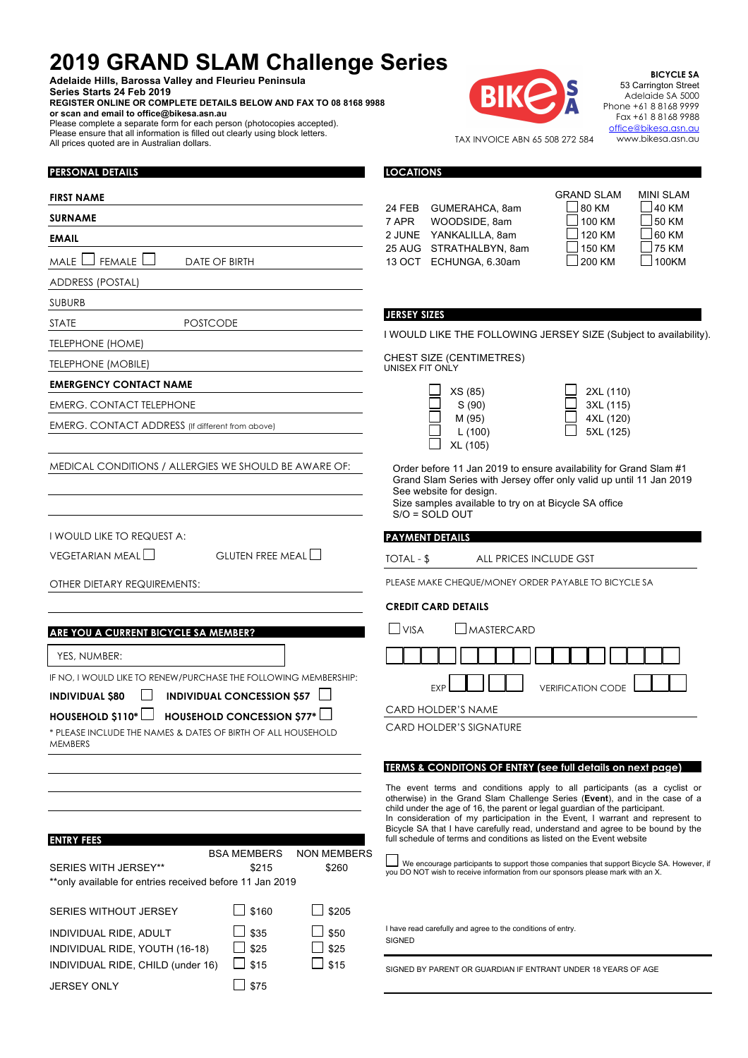## **2019 GRAND SLAM Challenge Series**

**Adelaide Hills, Barossa Valley and Fleurieu Peninsula Series Starts 24 Feb 2019**

 $M$ ALE  $\Box$  FEMALE  $\Box$  DATE OF BIRTH

STATE POSTCODE

EMERG. CONTACT ADDRESS (If different from above)

**PERSONAL DETAILS**

ADDRESS (POSTAL)

TELEPHONE (HOME) TELEPHONE (MOBILE)

**EMERGENCY CONTACT NAME** EMERG. CONTACT TELEPHONE

I WOULD LIKE TO REQUEST A:

OTHER DIETARY REQUIREMENTS:

**ARE YOU A CURRENT BICYCLE SA MEMBER?**

**FIRST NAME SURNAME EMAIL**

SUBURB

**REGISTER ONLINE OR COMPLETE DETAILS BELOW AND FAX TO 08 8168 9988 or scan and email to office@bikesa.asn.au**

Please complete a separate form for each person (photocopies accepted). Please ensure that all information is filled out clearly using block letters. All prices quoted are in Australian dollars.



**BICYCLE SA** 53 Carrington Street Adelaide SA 5000 Phone +61 8 8168 9999 Fax +61 8 8168 9988 office@bikesa.asn.au www.bikesa.asn.au

 $\overline{\phantom{a}}$ 

TAX INVOICE ABN 65 508 272 584

**LOCATIONS**

|       |                         | GRAND SLAM     | MINI SLAM     |
|-------|-------------------------|----------------|---------------|
|       | 24 FEB GUMERAHCA, 8am   | 80 KM          | 40 KM         |
| 7 APR | WOODSIDE, 8am           | $\Box$ 100 KM  | $\vert$ 50 KM |
|       | 2 JUNE YANKALILLA, 8am  | $\vert$ 120 KM | $\Box$ 60 KM  |
|       | 25 AUG STRATHALBYN, 8am | $\vert$ 150 KM | $\Box$ 75 KM  |
|       | 13 OCT ECHUNGA, 6.30am  | $200$ KM       | $\Box$ 100KM  |
|       |                         |                |               |

## **JERSEY SIZES**

I WOULD LIKE THE FOLLOWING JERSEY SIZE (Subject to availability).

CHEST SIZE (CENTIMETRES) UNISEX FIT ONLY

| XS (85)  | $\Box$ 2XL (110) |
|----------|------------------|
| S(90)    | $\Box$ 3XL (115) |
| M (95)   | 4XL (120)        |
| L(100)   | $\Box$ 5XL (125) |
| XL (105) |                  |

| $\vert \ \ \vert$ | 2XL (110) |
|-------------------|-----------|
| $\vert \ \ \vert$ | 3XL (115) |
| $\vert \ \ \vert$ | 4XL (120) |
| $\vert \ \ \vert$ | 5XL (125) |

Order before 11 Jan 2019 to ensure availability for Grand Slam #1 Grand Slam Series with Jersey offer only valid up until 11 Jan 2019 See website for design.

| Size samples available to try on at Bicycle SA office |  |
|-------------------------------------------------------|--|
| S/O = SOLD OUT                                        |  |

## **PAYMENT DETAILS**

TOTAL - \$ ALL PRICES INCLUDE GST

PLEASE MAKE CHEQUE/MONEY ORDER PAYABLE TO BICYCLE SA

#### **CREDIT CARD DETAILS**

| I IVISA |  |  | <b>JMASTERCARD</b> |  |  |  |  |  |  |  |  |
|---------|--|--|--------------------|--|--|--|--|--|--|--|--|
|         |  |  |                    |  |  |  |  |  |  |  |  |

EXP **I I LI VERIFICATION CODE** 

CARD HOLDER'S NAME

CARD HOLDER'S SIGNATURE

#### **TERMS & CONDITONS OF ENTRY (see full details on next page)**

The event terms and conditions apply to all participants (as a cyclist or otherwise) in the Grand Slam Challenge Series (**Event**), and in the case of a child under the age of 16, the parent or legal guardian of the participant. In consideration of my participation in the Event, I warrant and represent to Bicycle SA that I have carefully read, understand and agree to be bound by the full schedule of terms and conditions as listed on the Event website

| <b>SERIES WITH JERSEY**</b><br>**only available for entries received before 11 Jan 2019 | <b>BSA MEMBERS</b><br>\$215 | <b>NON MEMBERS</b><br>\$260 | you           |
|-----------------------------------------------------------------------------------------|-----------------------------|-----------------------------|---------------|
| <b>SERIES WITHOUT JERSEY</b>                                                            | $\Box$ \$160                | \$205                       |               |
| INDIVIDUAL RIDE, ADULT                                                                  | J \$35                      | $\Box$ \$50                 | I hay<br>SIGI |
| INDIVIDUAL RIDE, YOUTH (16-18)                                                          | \$25                        | \$25                        |               |
| INDIVIDUAL RIDE, CHILD (under 16)                                                       | \$15                        | \$15                        | SIGN          |

IF NO, I WOULD LIKE TO RENEW/PURCHASE THE FOLLOWING MEMBERSHIP: **INDIVIDUAL \$80 INDIVIDUAL CONCESSION \$57 HOUSEHOLD \$110\* HOUSEHOLD CONCESSION \$77\*** \* PLEASE INCLUDE THE NAMES & DATES OF BIRTH OF ALL HOUSEHOLD

MEDICAL CONDITIONS / ALLERGIES WE SHOULD BE AWARE OF:

VEGETARIAN MEAL  $\Box$  GLUTEN FREE MEAL  $\Box$ 

JERSEY ONLY  $\Box$  \$75

MEMBERS

YES, NUMBER:

**ENTRY FEES**

 We encourage participants to support those companies that support Bicycle SA. However, if DO NOT wish to receive information from our sponsors please mark with an X.

e read carefully and agree to the conditions of entry. SIGNED

SIGNED BY PARENT OR GUARDIAN IF ENTRANT UNDER 18 YEARS OF AGE